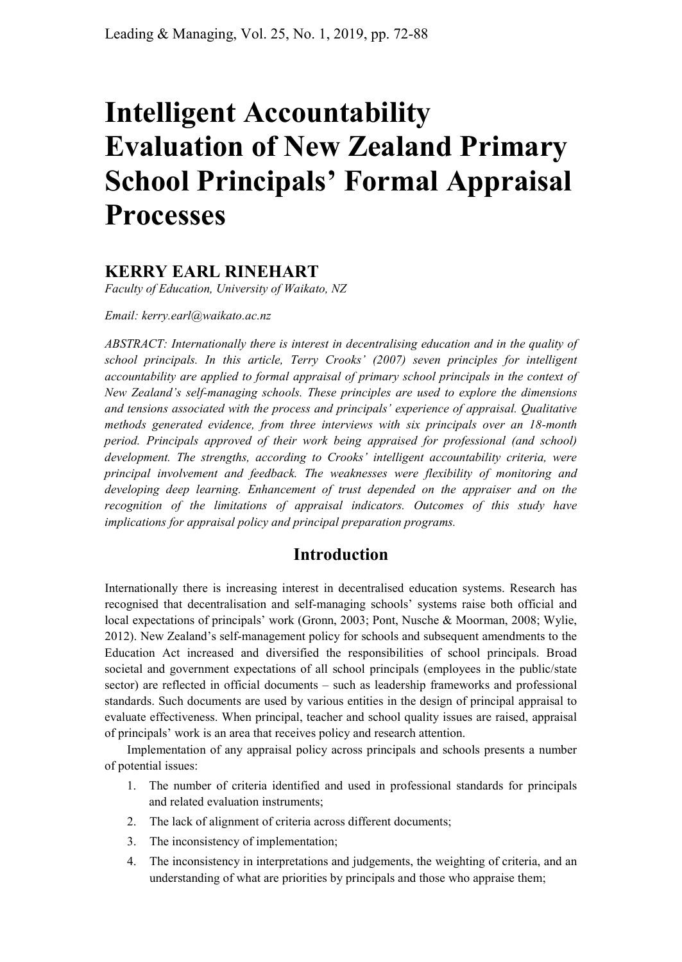# **Intelligent Accountability Evaluation of New Zealand Primary School Principals' Formal Appraisal Processes**

# **KERRY EARL RINEHART**

*Faculty of Education, University of Waikato, NZ*

#### *Email: kerry.earl@waikato.ac.nz*

*ABSTRACT: Internationally there is interest in decentralising education and in the quality of school principals. In this article, Terry Crooks' (2007) seven principles for intelligent accountability are applied to formal appraisal of primary school principals in the context of New Zealand's self-managing schools. These principles are used to explore the dimensions and tensions associated with the process and principals' experience of appraisal. Qualitative methods generated evidence, from three interviews with six principals over an 18-month period. Principals approved of their work being appraised for professional (and school) development. The strengths, according to Crooks' intelligent accountability criteria, were principal involvement and feedback. The weaknesses were flexibility of monitoring and*  developing deep learning. Enhancement of trust depended on the appraiser and on the *recognition of the limitations of appraisal indicators. Outcomes of this study have implications for appraisal policy and principal preparation programs.*

## **Introduction**

Internationally there is increasing interest in decentralised education systems. Research has recognised that decentralisation and self-managing schools' systems raise both official and local expectations of principals' work (Gronn, 2003; Pont, Nusche & Moorman, 2008; Wylie, 2012). New Zealand's self-management policy for schools and subsequent amendments to the Education Act increased and diversified the responsibilities of school principals. Broad societal and government expectations of all school principals (employees in the public/state sector) are reflected in official documents – such as leadership frameworks and professional standards. Such documents are used by various entities in the design of principal appraisal to evaluate effectiveness. When principal, teacher and school quality issues are raised, appraisal of principals' work is an area that receives policy and research attention.

Implementation of any appraisal policy across principals and schools presents a number of potential issues:

- 1. The number of criteria identified and used in professional standards for principals and related evaluation instruments;
- 2. The lack of alignment of criteria across different documents;
- 3. The inconsistency of implementation;
- 4. The inconsistency in interpretations and judgements, the weighting of criteria, and an understanding of what are priorities by principals and those who appraise them;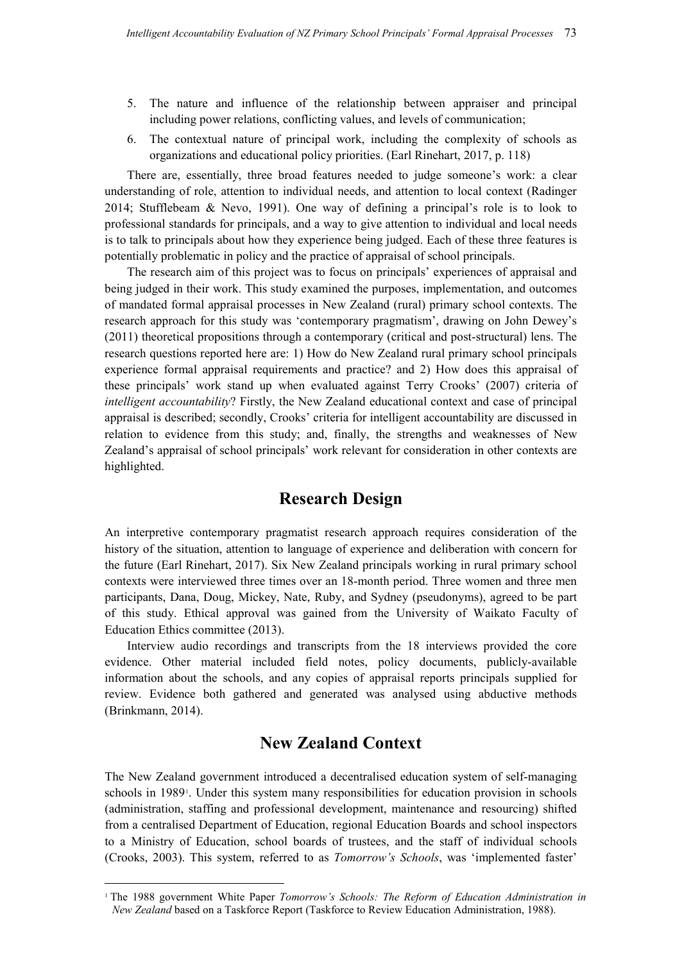- 5. The nature and influence of the relationship between appraiser and principal including power relations, conflicting values, and levels of communication;
- 6. The contextual nature of principal work, including the complexity of schools as organizations and educational policy priorities. (Earl Rinehart, 2017, p. 118)

There are, essentially, three broad features needed to judge someone's work: a clear understanding of role, attention to individual needs, and attention to local context (Radinger 2014; Stufflebeam & Nevo, 1991). One way of defining a principal's role is to look to professional standards for principals, and a way to give attention to individual and local needs is to talk to principals about how they experience being judged. Each of these three features is potentially problematic in policy and the practice of appraisal of school principals.

The research aim of this project was to focus on principals' experiences of appraisal and being judged in their work. This study examined the purposes, implementation, and outcomes of mandated formal appraisal processes in New Zealand (rural) primary school contexts. The research approach for this study was 'contemporary pragmatism', drawing on John Dewey's (2011) theoretical propositions through a contemporary (critical and post-structural) lens. The research questions reported here are: 1) How do New Zealand rural primary school principals experience formal appraisal requirements and practice? and 2) How does this appraisal of these principals' work stand up when evaluated against Terry Crooks' (2007) criteria of *intelligent accountability*? Firstly, the New Zealand educational context and case of principal appraisal is described; secondly, Crooks' criteria for intelligent accountability are discussed in relation to evidence from this study; and, finally, the strengths and weaknesses of New Zealand's appraisal of school principals' work relevant for consideration in other contexts are highlighted.

# **Research Design**

An interpretive contemporary pragmatist research approach requires consideration of the history of the situation, attention to language of experience and deliberation with concern for the future (Earl Rinehart, 2017). Six New Zealand principals working in rural primary school contexts were interviewed three times over an 18-month period. Three women and three men participants, Dana, Doug, Mickey, Nate, Ruby, and Sydney (pseudonyms), agreed to be part of this study. Ethical approval was gained from the University of Waikato Faculty of Education Ethics committee (2013).

Interview audio recordings and transcripts from the 18 interviews provided the core evidence. Other material included field notes, policy documents, publicly-available information about the schools, and any copies of appraisal reports principals supplied for review. Evidence both gathered and generated was analysed using abductive methods (Brinkmann, 2014).

## **New Zealand Context**

The New Zealand government introduced a decentralised education system of self-managing schools in 1989. Under this system many responsibilities for education provision in schools (administration, staffing and professional development, maintenance and resourcing) shifted from a centralised Department of Education, regional Education Boards and school inspectors to a Ministry of Education, school boards of trustees, and the staff of individual schools (Crooks, 2003). This system, referred to as *Tomorrow's Schools*, was 'implemented faster'

 <sup>1</sup> The 1988 government White Paper *Tomorrow's Schools: The Reform of Education Administration in New Zealand* based on a Taskforce Report (Taskforce to Review Education Administration, 1988).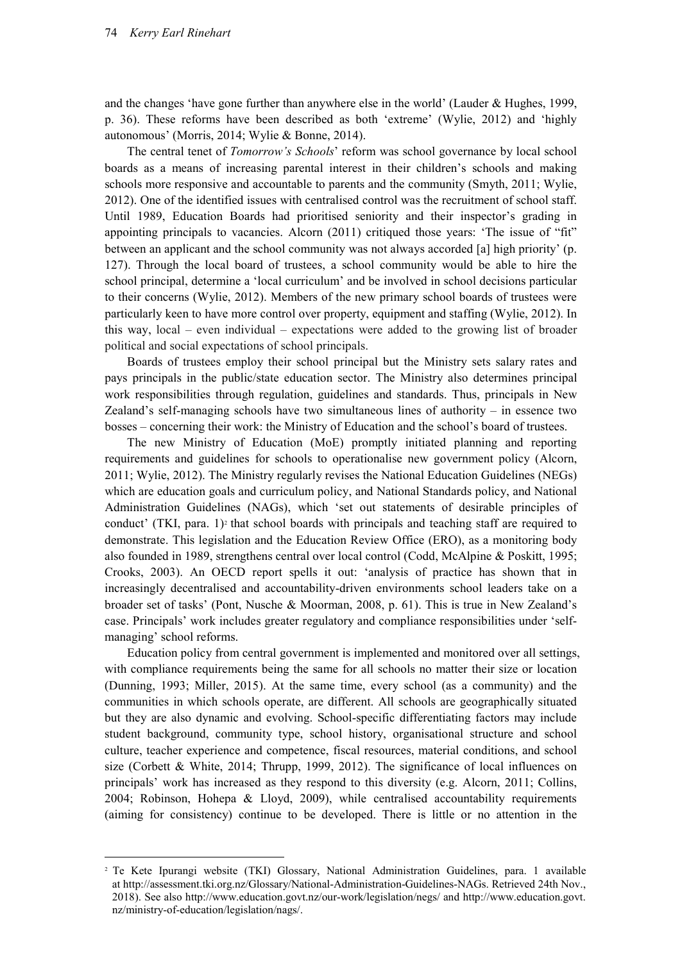and the changes 'have gone further than anywhere else in the world' (Lauder & Hughes, 1999, p. 36). These reforms have been described as both 'extreme' (Wylie, 2012) and 'highly autonomous' (Morris, 2014; Wylie & Bonne, 2014).

The central tenet of *Tomorrow's Schools*' reform was school governance by local school boards as a means of increasing parental interest in their children's schools and making schools more responsive and accountable to parents and the community (Smyth, 2011; Wylie, 2012). One of the identified issues with centralised control was the recruitment of school staff. Until 1989, Education Boards had prioritised seniority and their inspector's grading in appointing principals to vacancies. Alcorn (2011) critiqued those years: 'The issue of "fit" between an applicant and the school community was not always accorded [a] high priority' (p. 127). Through the local board of trustees, a school community would be able to hire the school principal, determine a 'local curriculum' and be involved in school decisions particular to their concerns (Wylie, 2012). Members of the new primary school boards of trustees were particularly keen to have more control over property, equipment and staffing (Wylie, 2012). In this way, local – even individual – expectations were added to the growing list of broader political and social expectations of school principals.

Boards of trustees employ their school principal but the Ministry sets salary rates and pays principals in the public/state education sector. The Ministry also determines principal work responsibilities through regulation, guidelines and standards. Thus, principals in New Zealand's self-managing schools have two simultaneous lines of authority – in essence two bosses – concerning their work: the Ministry of Education and the school's board of trustees.

The new Ministry of Education (MoE) promptly initiated planning and reporting requirements and guidelines for schools to operationalise new government policy (Alcorn, 2011; Wylie, 2012). The Ministry regularly revises the National Education Guidelines (NEGs) which are education goals and curriculum policy, and National Standards policy, and National Administration Guidelines (NAGs), which 'set out statements of desirable principles of conduct' (TKI, para. 1)<sup>2</sup> that school boards with principals and teaching staff are required to demonstrate. This legislation and the Education Review Office (ERO), as a monitoring body also founded in 1989, strengthens central over local control (Codd, McAlpine & Poskitt, 1995; Crooks, 2003). An OECD report spells it out: 'analysis of practice has shown that in increasingly decentralised and accountability-driven environments school leaders take on a broader set of tasks' (Pont, Nusche & Moorman, 2008, p. 61). This is true in New Zealand's case. Principals' work includes greater regulatory and compliance responsibilities under 'selfmanaging' school reforms.

Education policy from central government is implemented and monitored over all settings, with compliance requirements being the same for all schools no matter their size or location (Dunning, 1993; Miller, 2015). At the same time, every school (as a community) and the communities in which schools operate, are different. All schools are geographically situated but they are also dynamic and evolving. School-specific differentiating factors may include student background, community type, school history, organisational structure and school culture, teacher experience and competence, fiscal resources, material conditions, and school size (Corbett & White, 2014; Thrupp, 1999, 2012). The significance of local influences on principals' work has increased as they respond to this diversity (e.g. Alcorn, 2011; Collins, 2004; Robinson, Hohepa & Lloyd, 2009), while centralised accountability requirements (aiming for consistency) continue to be developed. There is little or no attention in the

 <sup>2</sup> Te Kete Ipurangi website (TKI) Glossary, National Administration Guidelines, para. 1 available at http://assessment.tki.org.nz/Glossary/National-Administration-Guidelines-NAGs. Retrieved 24th Nov., 2018). See also http://www.education.govt.nz/our-work/legislation/negs/ and http://www.education.govt. nz/ministry-of-education/legislation/nags/.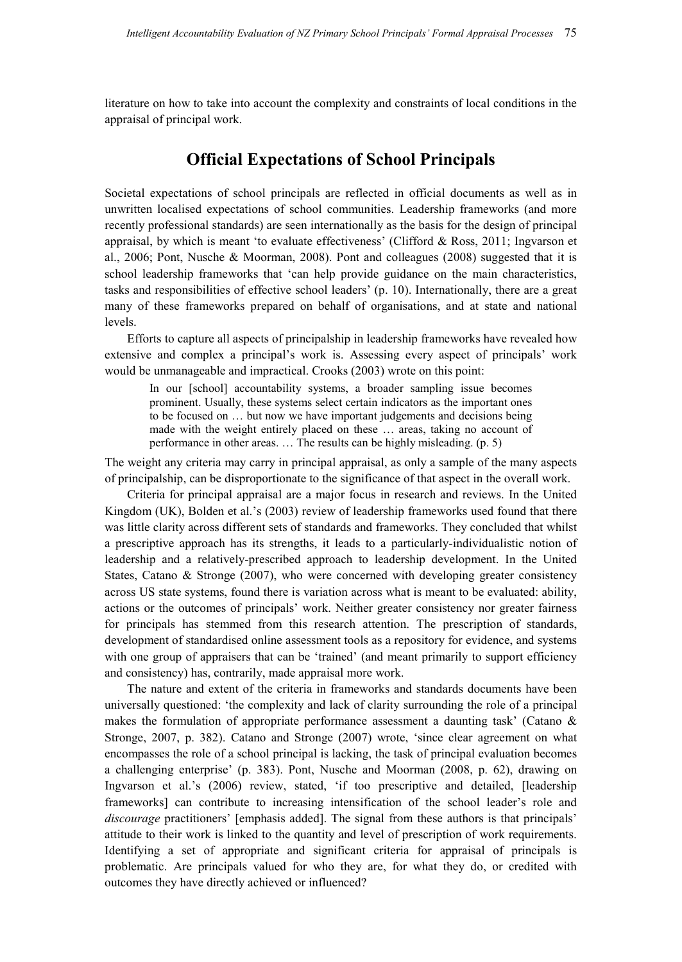literature on how to take into account the complexity and constraints of local conditions in the appraisal of principal work.

## **Official Expectations of School Principals**

Societal expectations of school principals are reflected in official documents as well as in unwritten localised expectations of school communities. Leadership frameworks (and more recently professional standards) are seen internationally as the basis for the design of principal appraisal, by which is meant 'to evaluate effectiveness' (Clifford & Ross, 2011; Ingvarson et al., 2006; Pont, Nusche & Moorman, 2008). Pont and colleagues (2008) suggested that it is school leadership frameworks that 'can help provide guidance on the main characteristics, tasks and responsibilities of effective school leaders' (p. 10). Internationally, there are a great many of these frameworks prepared on behalf of organisations, and at state and national levels.

Efforts to capture all aspects of principalship in leadership frameworks have revealed how extensive and complex a principal's work is. Assessing every aspect of principals' work would be unmanageable and impractical. Crooks (2003) wrote on this point:

In our [school] accountability systems, a broader sampling issue becomes prominent. Usually, these systems select certain indicators as the important ones to be focused on … but now we have important judgements and decisions being made with the weight entirely placed on these … areas, taking no account of performance in other areas. … The results can be highly misleading. (p. 5)

The weight any criteria may carry in principal appraisal, as only a sample of the many aspects of principalship, can be disproportionate to the significance of that aspect in the overall work.

Criteria for principal appraisal are a major focus in research and reviews. In the United Kingdom (UK), Bolden et al.'s (2003) review of leadership frameworks used found that there was little clarity across different sets of standards and frameworks. They concluded that whilst a prescriptive approach has its strengths, it leads to a particularly-individualistic notion of leadership and a relatively-prescribed approach to leadership development. In the United States, Catano & Stronge (2007), who were concerned with developing greater consistency across US state systems, found there is variation across what is meant to be evaluated: ability, actions or the outcomes of principals' work. Neither greater consistency nor greater fairness for principals has stemmed from this research attention. The prescription of standards, development of standardised online assessment tools as a repository for evidence, and systems with one group of appraisers that can be 'trained' (and meant primarily to support efficiency and consistency) has, contrarily, made appraisal more work.

The nature and extent of the criteria in frameworks and standards documents have been universally questioned: 'the complexity and lack of clarity surrounding the role of a principal makes the formulation of appropriate performance assessment a daunting task' (Catano & Stronge, 2007, p. 382). Catano and Stronge (2007) wrote, 'since clear agreement on what encompasses the role of a school principal is lacking, the task of principal evaluation becomes a challenging enterprise' (p. 383). Pont, Nusche and Moorman (2008, p. 62), drawing on Ingvarson et al.'s (2006) review, stated, 'if too prescriptive and detailed, [leadership frameworks] can contribute to increasing intensification of the school leader's role and *discourage* practitioners' [emphasis added]. The signal from these authors is that principals' attitude to their work is linked to the quantity and level of prescription of work requirements. Identifying a set of appropriate and significant criteria for appraisal of principals is problematic. Are principals valued for who they are, for what they do, or credited with outcomes they have directly achieved or influenced?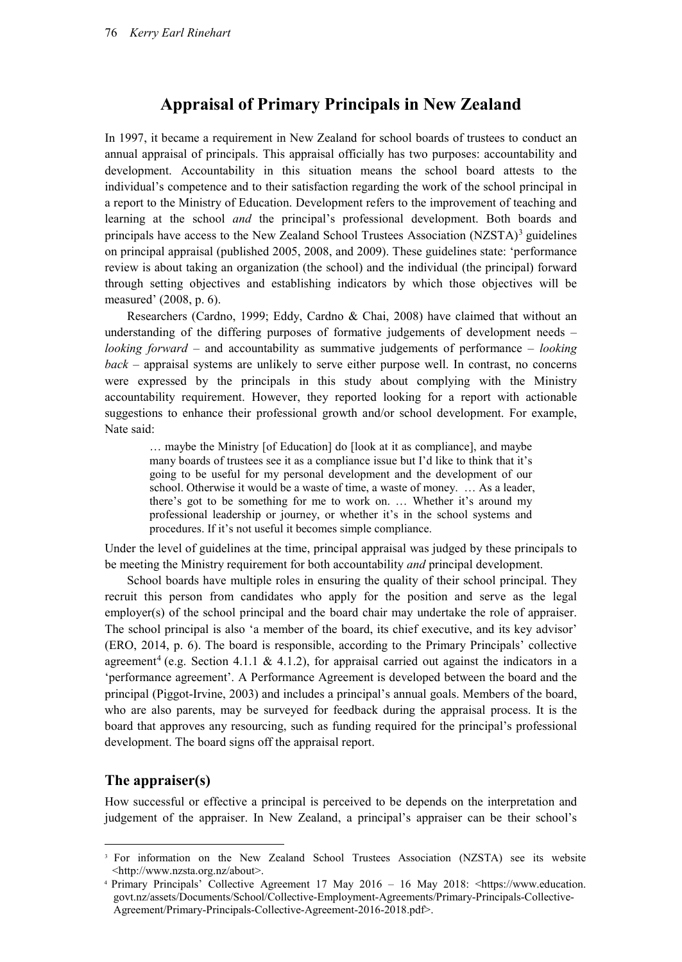## **Appraisal of Primary Principals in New Zealand**

In 1997, it became a requirement in New Zealand for school boards of trustees to conduct an annual appraisal of principals. This appraisal officially has two purposes: accountability and development. Accountability in this situation means the school board attests to the individual's competence and to their satisfaction regarding the work of the school principal in a report to the Ministry of Education. Development refers to the improvement of teaching and learning at the school *and* the principal's professional development. Both boards and principals have access to the New Zealand School Trustees Association  $(NZSTA)^3$  guidelines on principal appraisal (published 2005, 2008, and 2009). These guidelines state: 'performance review is about taking an organization (the school) and the individual (the principal) forward through setting objectives and establishing indicators by which those objectives will be measured' (2008, p. 6).

Researchers (Cardno, 1999; Eddy, Cardno & Chai, 2008) have claimed that without an understanding of the differing purposes of formative judgements of development needs – *looking forward* – and accountability as summative judgements of performance – *looking back* – appraisal systems are unlikely to serve either purpose well. In contrast, no concerns were expressed by the principals in this study about complying with the Ministry accountability requirement. However, they reported looking for a report with actionable suggestions to enhance their professional growth and/or school development. For example, Nate said:

… maybe the Ministry [of Education] do [look at it as compliance], and maybe many boards of trustees see it as a compliance issue but I'd like to think that it's going to be useful for my personal development and the development of our school. Otherwise it would be a waste of time, a waste of money. ... As a leader, there's got to be something for me to work on. … Whether it's around my professional leadership or journey, or whether it's in the school systems and procedures. If it's not useful it becomes simple compliance.

Under the level of guidelines at the time, principal appraisal was judged by these principals to be meeting the Ministry requirement for both accountability *and* principal development.

School boards have multiple roles in ensuring the quality of their school principal. They recruit this person from candidates who apply for the position and serve as the legal employer(s) of the school principal and the board chair may undertake the role of appraiser. The school principal is also 'a member of the board, its chief executive, and its key advisor' (ERO, 2014, p. 6). The board is responsible, according to the Primary Principals' collective agreement<sup>4</sup> (e.g. Section 4.1.1 & 4.1.2), for appraisal carried out against the indicators in a 'performance agreement'. A Performance Agreement is developed between the board and the principal (Piggot-Irvine, 2003) and includes a principal's annual goals. Members of the board, who are also parents, may be surveyed for feedback during the appraisal process. It is the board that approves any resourcing, such as funding required for the principal's professional development. The board signs off the appraisal report.

#### **The appraiser(s)**

How successful or effective a principal is perceived to be depends on the interpretation and judgement of the appraiser. In New Zealand, a principal's appraiser can be their school's

<sup>&</sup>lt;sup>3</sup> For information on the New Zealand School Trustees Association (NZSTA) see its website <http://www.nzsta.org.nz/about>.

 <sup>4</sup> Primary Principals' Collective Agreement 17 May 2016 – 16 May 2018: <https://www.education. govt.nz/assets/Documents/School/Collective-Employment-Agreements/Primary-Principals-Collective-Agreement/Primary-Principals-Collective-Agreement-2016-2018.pdf>.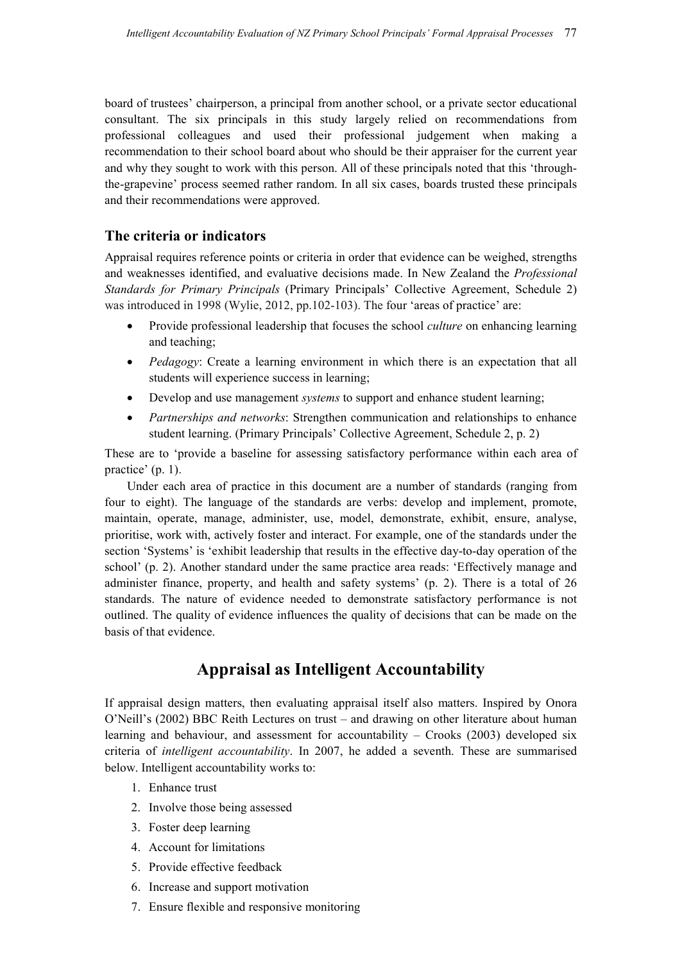board of trustees' chairperson, a principal from another school, or a private sector educational consultant. The six principals in this study largely relied on recommendations from professional colleagues and used their professional judgement when making a recommendation to their school board about who should be their appraiser for the current year and why they sought to work with this person. All of these principals noted that this 'throughthe-grapevine' process seemed rather random. In all six cases, boards trusted these principals and their recommendations were approved.

## **The criteria or indicators**

Appraisal requires reference points or criteria in order that evidence can be weighed, strengths and weaknesses identified, and evaluative decisions made. In New Zealand the *Professional Standards for Primary Principals* (Primary Principals' Collective Agreement, Schedule 2) was introduced in 1998 (Wylie, 2012, pp.102-103). The four 'areas of practice' are:

- Provide professional leadership that focuses the school *culture* on enhancing learning and teaching;
- *Pedagogy*: Create a learning environment in which there is an expectation that all students will experience success in learning;
- Develop and use management *systems* to support and enhance student learning;
- *Partnerships and networks*: Strengthen communication and relationships to enhance student learning. (Primary Principals' Collective Agreement, Schedule 2, p. 2)

These are to 'provide a baseline for assessing satisfactory performance within each area of practice' (p. 1).

Under each area of practice in this document are a number of standards (ranging from four to eight). The language of the standards are verbs: develop and implement, promote, maintain, operate, manage, administer, use, model, demonstrate, exhibit, ensure, analyse, prioritise, work with, actively foster and interact. For example, one of the standards under the section 'Systems' is 'exhibit leadership that results in the effective day-to-day operation of the school' (p. 2). Another standard under the same practice area reads: 'Effectively manage and administer finance, property, and health and safety systems' (p. 2). There is a total of 26 standards. The nature of evidence needed to demonstrate satisfactory performance is not outlined. The quality of evidence influences the quality of decisions that can be made on the basis of that evidence.

# **Appraisal as Intelligent Accountability**

If appraisal design matters, then evaluating appraisal itself also matters. Inspired by Onora O'Neill's (2002) BBC Reith Lectures on trust – and drawing on other literature about human learning and behaviour, and assessment for accountability – Crooks (2003) developed six criteria of *intelligent accountability*. In 2007, he added a seventh. These are summarised below. Intelligent accountability works to:

- 1. Enhance trust
- 2. Involve those being assessed
- 3. Foster deep learning
- 4. Account for limitations
- 5. Provide effective feedback
- 6. Increase and support motivation
- 7. Ensure flexible and responsive monitoring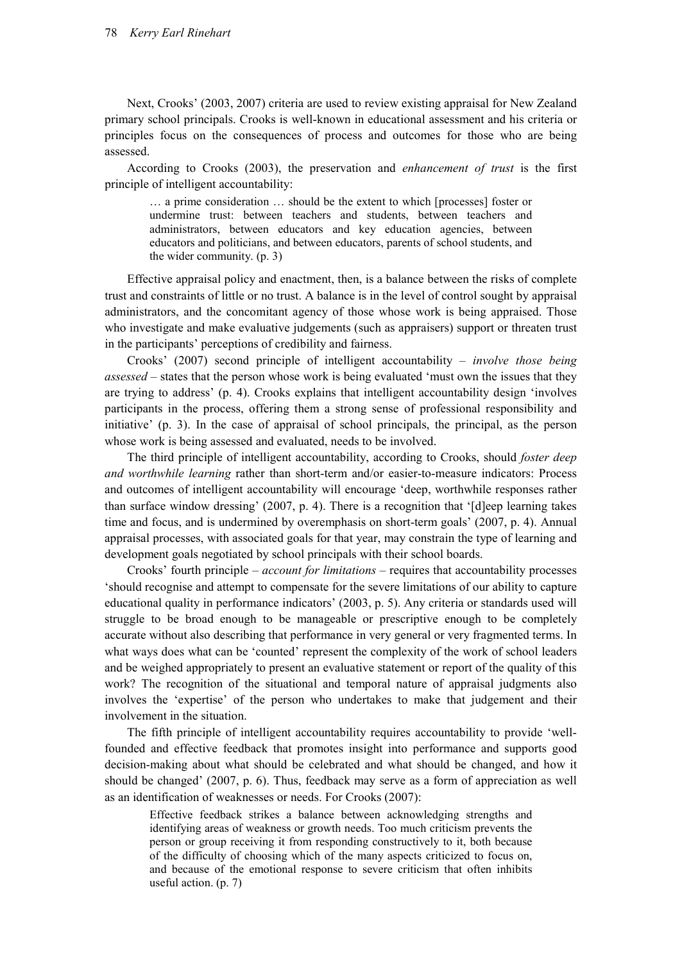Next, Crooks' (2003, 2007) criteria are used to review existing appraisal for New Zealand primary school principals. Crooks is well-known in educational assessment and his criteria or principles focus on the consequences of process and outcomes for those who are being assessed.

According to Crooks (2003), the preservation and *enhancement of trust* is the first principle of intelligent accountability:

… a prime consideration … should be the extent to which [processes] foster or undermine trust: between teachers and students, between teachers and administrators, between educators and key education agencies, between educators and politicians, and between educators, parents of school students, and the wider community. (p. 3)

Effective appraisal policy and enactment, then, is a balance between the risks of complete trust and constraints of little or no trust. A balance is in the level of control sought by appraisal administrators, and the concomitant agency of those whose work is being appraised. Those who investigate and make evaluative judgements (such as appraisers) support or threaten trust in the participants' perceptions of credibility and fairness.

Crooks' (2007) second principle of intelligent accountability – *involve those being assessed* – states that the person whose work is being evaluated 'must own the issues that they are trying to address' (p. 4). Crooks explains that intelligent accountability design 'involves participants in the process, offering them a strong sense of professional responsibility and initiative' (p. 3). In the case of appraisal of school principals, the principal, as the person whose work is being assessed and evaluated, needs to be involved.

The third principle of intelligent accountability, according to Crooks, should *foster deep and worthwhile learning* rather than short-term and/or easier-to-measure indicators: Process and outcomes of intelligent accountability will encourage 'deep, worthwhile responses rather than surface window dressing' (2007, p. 4). There is a recognition that '[d]eep learning takes time and focus, and is undermined by overemphasis on short-term goals' (2007, p. 4). Annual appraisal processes, with associated goals for that year, may constrain the type of learning and development goals negotiated by school principals with their school boards.

Crooks' fourth principle – *account for limitations* – requires that accountability processes 'should recognise and attempt to compensate for the severe limitations of our ability to capture educational quality in performance indicators' (2003, p. 5). Any criteria or standards used will struggle to be broad enough to be manageable or prescriptive enough to be completely accurate without also describing that performance in very general or very fragmented terms. In what ways does what can be 'counted' represent the complexity of the work of school leaders and be weighed appropriately to present an evaluative statement or report of the quality of this work? The recognition of the situational and temporal nature of appraisal judgments also involves the 'expertise' of the person who undertakes to make that judgement and their involvement in the situation.

The fifth principle of intelligent accountability requires accountability to provide 'wellfounded and effective feedback that promotes insight into performance and supports good decision-making about what should be celebrated and what should be changed, and how it should be changed' (2007, p. 6). Thus, feedback may serve as a form of appreciation as well as an identification of weaknesses or needs. For Crooks (2007):

Effective feedback strikes a balance between acknowledging strengths and identifying areas of weakness or growth needs. Too much criticism prevents the person or group receiving it from responding constructively to it, both because of the difficulty of choosing which of the many aspects criticized to focus on, and because of the emotional response to severe criticism that often inhibits useful action. (p. 7)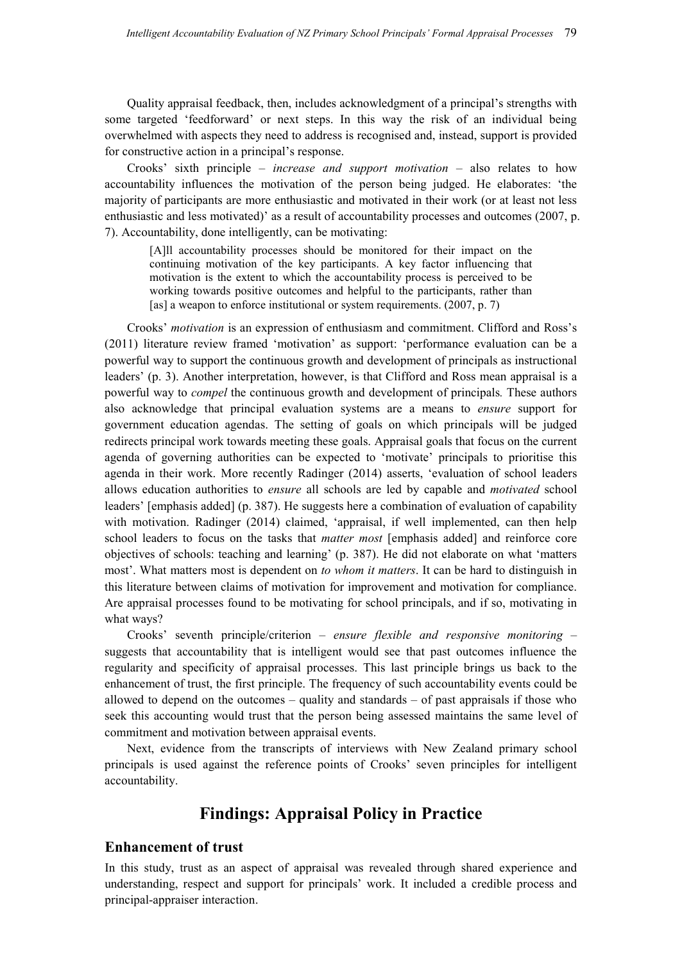Quality appraisal feedback, then, includes acknowledgment of a principal's strengths with some targeted 'feedforward' or next steps. In this way the risk of an individual being overwhelmed with aspects they need to address is recognised and, instead, support is provided for constructive action in a principal's response.

Crooks' sixth principle – *increase and support motivation* – also relates to how accountability influences the motivation of the person being judged. He elaborates: 'the majority of participants are more enthusiastic and motivated in their work (or at least not less enthusiastic and less motivated)' as a result of accountability processes and outcomes (2007, p. 7). Accountability, done intelligently, can be motivating:

[A]ll accountability processes should be monitored for their impact on the continuing motivation of the key participants. A key factor influencing that motivation is the extent to which the accountability process is perceived to be working towards positive outcomes and helpful to the participants, rather than [as] a weapon to enforce institutional or system requirements. (2007, p. 7)

Crooks' *motivation* is an expression of enthusiasm and commitment. Clifford and Ross's (2011) literature review framed 'motivation' as support: 'performance evaluation can be a powerful way to support the continuous growth and development of principals as instructional leaders' (p. 3). Another interpretation, however, is that Clifford and Ross mean appraisal is a powerful way to *compel* the continuous growth and development of principals*.* These authors also acknowledge that principal evaluation systems are a means to *ensure* support for government education agendas. The setting of goals on which principals will be judged redirects principal work towards meeting these goals. Appraisal goals that focus on the current agenda of governing authorities can be expected to 'motivate' principals to prioritise this agenda in their work. More recently Radinger (2014) asserts, 'evaluation of school leaders allows education authorities to *ensure* all schools are led by capable and *motivated* school leaders' [emphasis added] (p. 387). He suggests here a combination of evaluation of capability with motivation. Radinger (2014) claimed, 'appraisal, if well implemented, can then help school leaders to focus on the tasks that *matter most* [emphasis added] and reinforce core objectives of schools: teaching and learning' (p. 387). He did not elaborate on what 'matters most'. What matters most is dependent on *to whom it matters*. It can be hard to distinguish in this literature between claims of motivation for improvement and motivation for compliance. Are appraisal processes found to be motivating for school principals, and if so, motivating in what ways?

Crooks' seventh principle/criterion – *ensure flexible and responsive monitoring* – suggests that accountability that is intelligent would see that past outcomes influence the regularity and specificity of appraisal processes. This last principle brings us back to the enhancement of trust, the first principle. The frequency of such accountability events could be allowed to depend on the outcomes  $-$  quality and standards  $-$  of past appraisals if those who seek this accounting would trust that the person being assessed maintains the same level of commitment and motivation between appraisal events.

Next, evidence from the transcripts of interviews with New Zealand primary school principals is used against the reference points of Crooks' seven principles for intelligent accountability.

## **Findings: Appraisal Policy in Practice**

#### **Enhancement of trust**

In this study, trust as an aspect of appraisal was revealed through shared experience and understanding, respect and support for principals' work. It included a credible process and principal-appraiser interaction.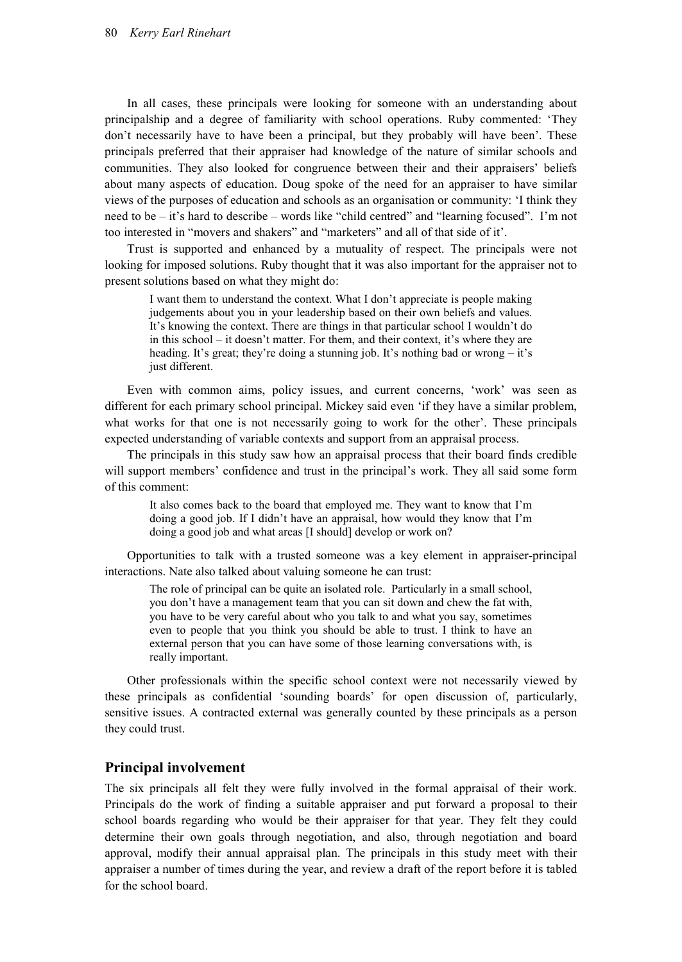In all cases, these principals were looking for someone with an understanding about principalship and a degree of familiarity with school operations. Ruby commented: 'They don't necessarily have to have been a principal, but they probably will have been'. These principals preferred that their appraiser had knowledge of the nature of similar schools and communities. They also looked for congruence between their and their appraisers' beliefs about many aspects of education. Doug spoke of the need for an appraiser to have similar views of the purposes of education and schools as an organisation or community: 'I think they need to be – it's hard to describe – words like "child centred" and "learning focused". I'm not too interested in "movers and shakers" and "marketers" and all of that side of it'.

Trust is supported and enhanced by a mutuality of respect. The principals were not looking for imposed solutions. Ruby thought that it was also important for the appraiser not to present solutions based on what they might do:

I want them to understand the context. What I don't appreciate is people making judgements about you in your leadership based on their own beliefs and values. It's knowing the context. There are things in that particular school I wouldn't do in this school – it doesn't matter. For them, and their context, it's where they are heading. It's great; they're doing a stunning job. It's nothing bad or wrong – it's just different.

Even with common aims, policy issues, and current concerns, 'work' was seen as different for each primary school principal. Mickey said even 'if they have a similar problem, what works for that one is not necessarily going to work for the other'. These principals expected understanding of variable contexts and support from an appraisal process.

The principals in this study saw how an appraisal process that their board finds credible will support members' confidence and trust in the principal's work. They all said some form of this comment:

It also comes back to the board that employed me. They want to know that I'm doing a good job. If I didn't have an appraisal, how would they know that I'm doing a good job and what areas [I should] develop or work on?

Opportunities to talk with a trusted someone was a key element in appraiser-principal interactions. Nate also talked about valuing someone he can trust:

The role of principal can be quite an isolated role. Particularly in a small school, you don't have a management team that you can sit down and chew the fat with, you have to be very careful about who you talk to and what you say, sometimes even to people that you think you should be able to trust. I think to have an external person that you can have some of those learning conversations with, is really important.

Other professionals within the specific school context were not necessarily viewed by these principals as confidential 'sounding boards' for open discussion of, particularly, sensitive issues. A contracted external was generally counted by these principals as a person they could trust.

#### **Principal involvement**

The six principals all felt they were fully involved in the formal appraisal of their work. Principals do the work of finding a suitable appraiser and put forward a proposal to their school boards regarding who would be their appraiser for that year. They felt they could determine their own goals through negotiation, and also, through negotiation and board approval, modify their annual appraisal plan. The principals in this study meet with their appraiser a number of times during the year, and review a draft of the report before it is tabled for the school board.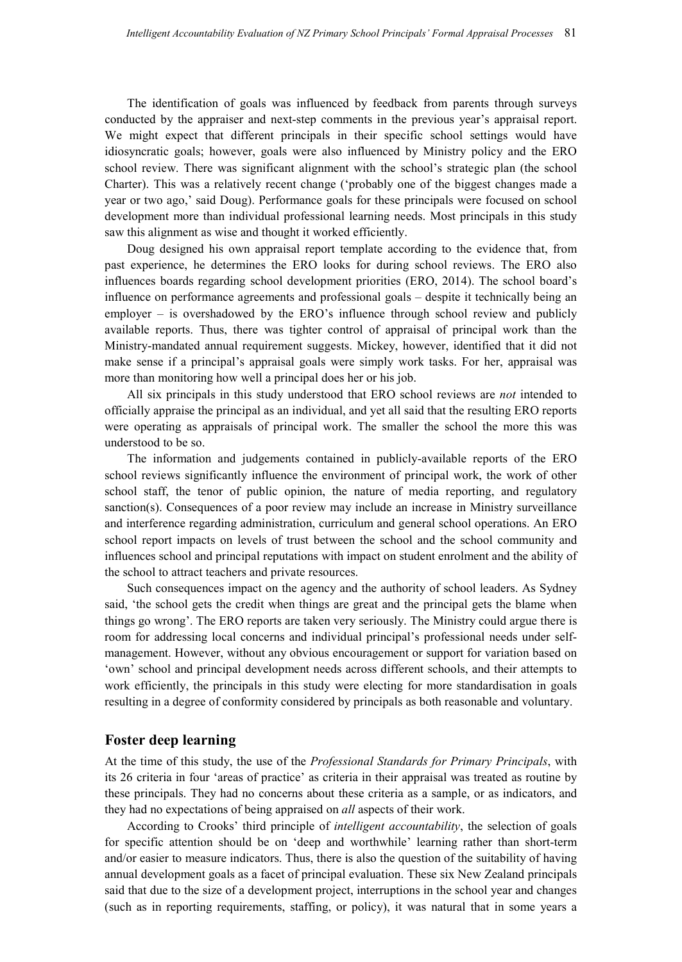The identification of goals was influenced by feedback from parents through surveys conducted by the appraiser and next-step comments in the previous year's appraisal report. We might expect that different principals in their specific school settings would have idiosyncratic goals; however, goals were also influenced by Ministry policy and the ERO school review. There was significant alignment with the school's strategic plan (the school Charter). This was a relatively recent change ('probably one of the biggest changes made a year or two ago,' said Doug). Performance goals for these principals were focused on school development more than individual professional learning needs. Most principals in this study saw this alignment as wise and thought it worked efficiently.

Doug designed his own appraisal report template according to the evidence that, from past experience, he determines the ERO looks for during school reviews. The ERO also influences boards regarding school development priorities (ERO, 2014). The school board's influence on performance agreements and professional goals – despite it technically being an employer – is overshadowed by the ERO's influence through school review and publicly available reports. Thus, there was tighter control of appraisal of principal work than the Ministry-mandated annual requirement suggests. Mickey, however, identified that it did not make sense if a principal's appraisal goals were simply work tasks. For her, appraisal was more than monitoring how well a principal does her or his job.

All six principals in this study understood that ERO school reviews are *not* intended to officially appraise the principal as an individual, and yet all said that the resulting ERO reports were operating as appraisals of principal work. The smaller the school the more this was understood to be so.

The information and judgements contained in publicly-available reports of the ERO school reviews significantly influence the environment of principal work, the work of other school staff, the tenor of public opinion, the nature of media reporting, and regulatory sanction(s). Consequences of a poor review may include an increase in Ministry surveillance and interference regarding administration, curriculum and general school operations. An ERO school report impacts on levels of trust between the school and the school community and influences school and principal reputations with impact on student enrolment and the ability of the school to attract teachers and private resources.

Such consequences impact on the agency and the authority of school leaders. As Sydney said, 'the school gets the credit when things are great and the principal gets the blame when things go wrong'. The ERO reports are taken very seriously. The Ministry could argue there is room for addressing local concerns and individual principal's professional needs under selfmanagement. However, without any obvious encouragement or support for variation based on 'own' school and principal development needs across different schools, and their attempts to work efficiently, the principals in this study were electing for more standardisation in goals resulting in a degree of conformity considered by principals as both reasonable and voluntary.

#### **Foster deep learning**

At the time of this study, the use of the *Professional Standards for Primary Principals*, with its 26 criteria in four 'areas of practice' as criteria in their appraisal was treated as routine by these principals. They had no concerns about these criteria as a sample, or as indicators, and they had no expectations of being appraised on *all* aspects of their work.

According to Crooks' third principle of *intelligent accountability*, the selection of goals for specific attention should be on 'deep and worthwhile' learning rather than short-term and/or easier to measure indicators. Thus, there is also the question of the suitability of having annual development goals as a facet of principal evaluation. These six New Zealand principals said that due to the size of a development project, interruptions in the school year and changes (such as in reporting requirements, staffing, or policy), it was natural that in some years a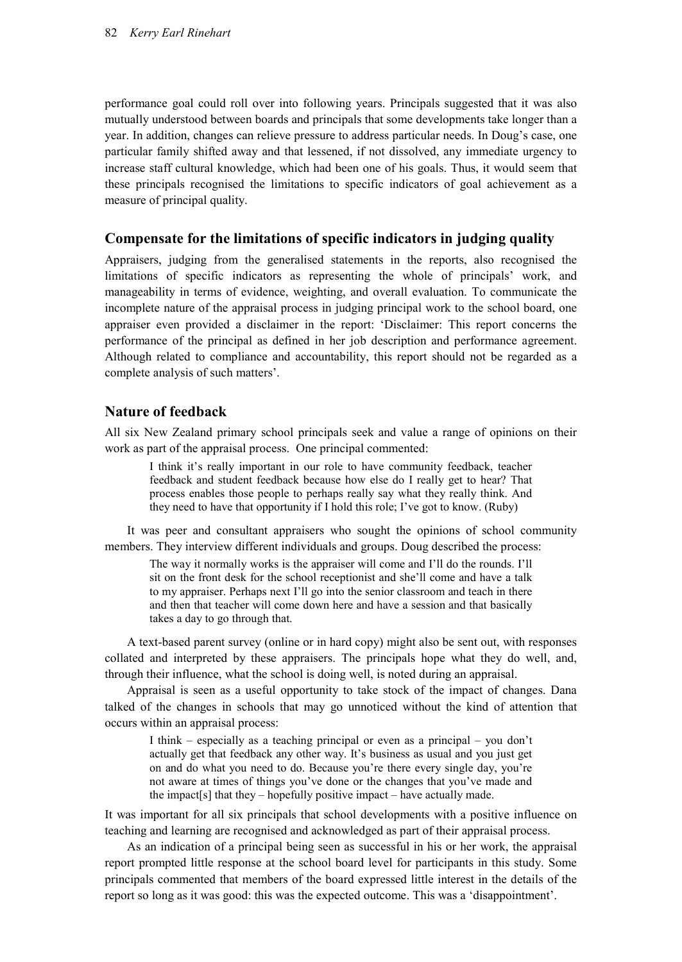performance goal could roll over into following years. Principals suggested that it was also mutually understood between boards and principals that some developments take longer than a year. In addition, changes can relieve pressure to address particular needs. In Doug's case, one particular family shifted away and that lessened, if not dissolved, any immediate urgency to increase staff cultural knowledge, which had been one of his goals. Thus, it would seem that these principals recognised the limitations to specific indicators of goal achievement as a measure of principal quality.

#### **Compensate for the limitations of specific indicators in judging quality**

Appraisers, judging from the generalised statements in the reports, also recognised the limitations of specific indicators as representing the whole of principals' work, and manageability in terms of evidence, weighting, and overall evaluation. To communicate the incomplete nature of the appraisal process in judging principal work to the school board, one appraiser even provided a disclaimer in the report: 'Disclaimer: This report concerns the performance of the principal as defined in her job description and performance agreement. Although related to compliance and accountability, this report should not be regarded as a complete analysis of such matters'.

#### **Nature of feedback**

All six New Zealand primary school principals seek and value a range of opinions on their work as part of the appraisal process. One principal commented:

I think it's really important in our role to have community feedback, teacher feedback and student feedback because how else do I really get to hear? That process enables those people to perhaps really say what they really think. And they need to have that opportunity if I hold this role; I've got to know. (Ruby)

It was peer and consultant appraisers who sought the opinions of school community members. They interview different individuals and groups. Doug described the process:

The way it normally works is the appraiser will come and I'll do the rounds. I'll sit on the front desk for the school receptionist and she'll come and have a talk to my appraiser. Perhaps next I'll go into the senior classroom and teach in there and then that teacher will come down here and have a session and that basically takes a day to go through that.

A text-based parent survey (online or in hard copy) might also be sent out, with responses collated and interpreted by these appraisers. The principals hope what they do well, and, through their influence, what the school is doing well, is noted during an appraisal.

Appraisal is seen as a useful opportunity to take stock of the impact of changes. Dana talked of the changes in schools that may go unnoticed without the kind of attention that occurs within an appraisal process:

I think – especially as a teaching principal or even as a principal – you don't actually get that feedback any other way. It's business as usual and you just get on and do what you need to do. Because you're there every single day, you're not aware at times of things you've done or the changes that you've made and the impact  $[s]$  that they – hopefully positive impact – have actually made.

It was important for all six principals that school developments with a positive influence on teaching and learning are recognised and acknowledged as part of their appraisal process.

As an indication of a principal being seen as successful in his or her work, the appraisal report prompted little response at the school board level for participants in this study. Some principals commented that members of the board expressed little interest in the details of the report so long as it was good: this was the expected outcome. This was a 'disappointment'.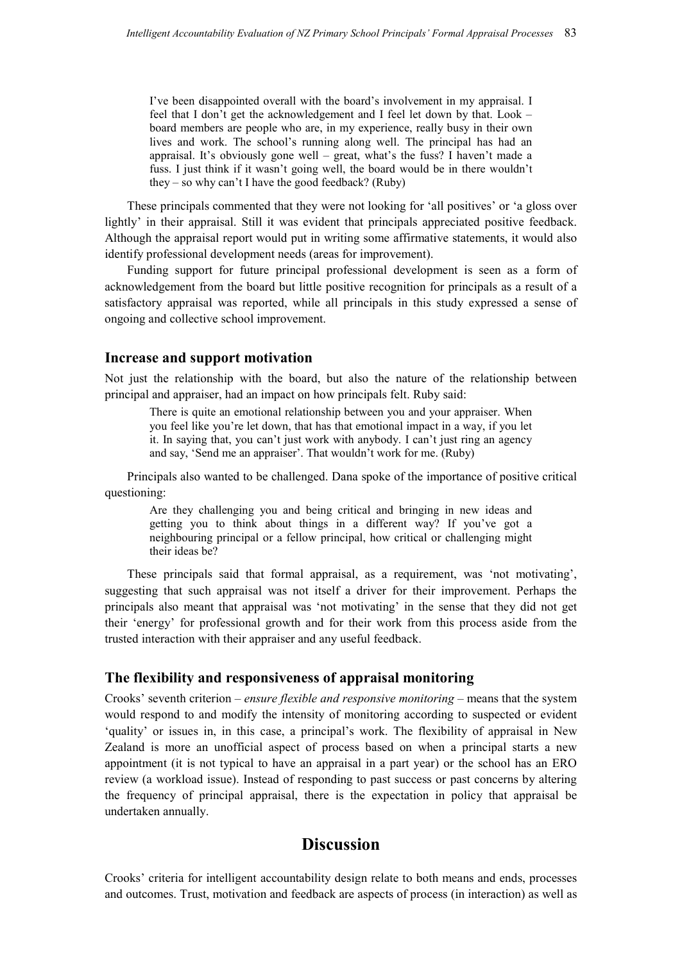I've been disappointed overall with the board's involvement in my appraisal. I feel that I don't get the acknowledgement and I feel let down by that. Look – board members are people who are, in my experience, really busy in their own lives and work. The school's running along well. The principal has had an appraisal. It's obviously gone well – great, what's the fuss? I haven't made a fuss. I just think if it wasn't going well, the board would be in there wouldn't they – so why can't I have the good feedback? (Ruby)

These principals commented that they were not looking for 'all positives' or 'a gloss over lightly' in their appraisal. Still it was evident that principals appreciated positive feedback. Although the appraisal report would put in writing some affirmative statements, it would also identify professional development needs (areas for improvement).

Funding support for future principal professional development is seen as a form of acknowledgement from the board but little positive recognition for principals as a result of a satisfactory appraisal was reported, while all principals in this study expressed a sense of ongoing and collective school improvement.

#### **Increase and support motivation**

Not just the relationship with the board, but also the nature of the relationship between principal and appraiser, had an impact on how principals felt. Ruby said:

There is quite an emotional relationship between you and your appraiser. When you feel like you're let down, that has that emotional impact in a way, if you let it. In saying that, you can't just work with anybody. I can't just ring an agency and say, 'Send me an appraiser'. That wouldn't work for me. (Ruby)

Principals also wanted to be challenged. Dana spoke of the importance of positive critical questioning:

Are they challenging you and being critical and bringing in new ideas and getting you to think about things in a different way? If you've got a neighbouring principal or a fellow principal, how critical or challenging might their ideas be?

These principals said that formal appraisal, as a requirement, was 'not motivating', suggesting that such appraisal was not itself a driver for their improvement. Perhaps the principals also meant that appraisal was 'not motivating' in the sense that they did not get their 'energy' for professional growth and for their work from this process aside from the trusted interaction with their appraiser and any useful feedback.

#### **The flexibility and responsiveness of appraisal monitoring**

Crooks' seventh criterion – *ensure flexible and responsive monitoring* – means that the system would respond to and modify the intensity of monitoring according to suspected or evident 'quality' or issues in, in this case, a principal's work. The flexibility of appraisal in New Zealand is more an unofficial aspect of process based on when a principal starts a new appointment (it is not typical to have an appraisal in a part year) or the school has an ERO review (a workload issue). Instead of responding to past success or past concerns by altering the frequency of principal appraisal, there is the expectation in policy that appraisal be undertaken annually.

## **Discussion**

Crooks' criteria for intelligent accountability design relate to both means and ends, processes and outcomes. Trust, motivation and feedback are aspects of process (in interaction) as well as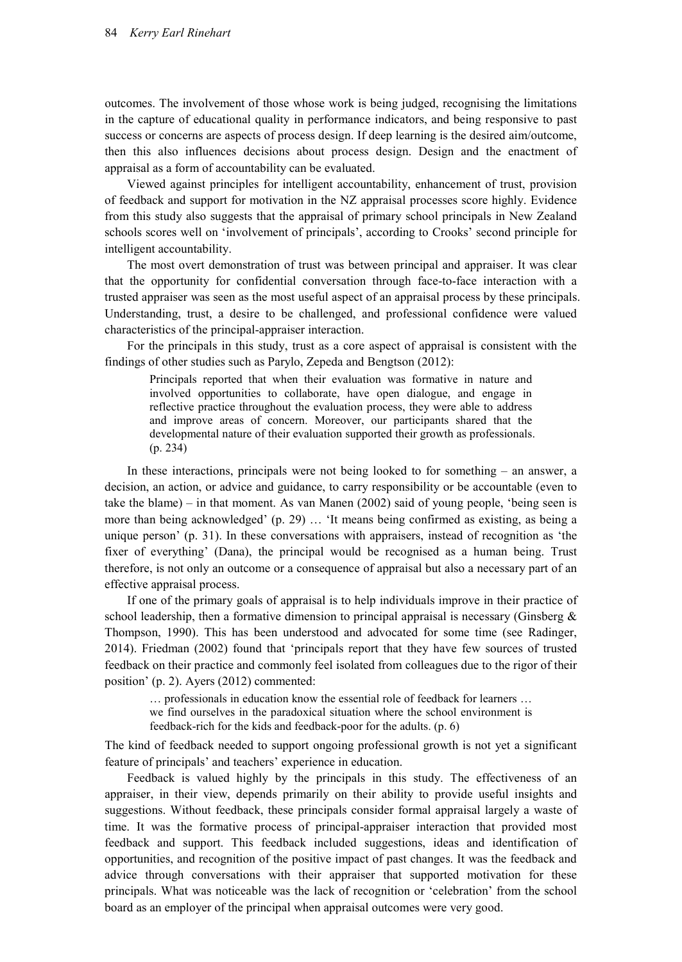outcomes. The involvement of those whose work is being judged, recognising the limitations in the capture of educational quality in performance indicators, and being responsive to past success or concerns are aspects of process design. If deep learning is the desired aim/outcome, then this also influences decisions about process design. Design and the enactment of appraisal as a form of accountability can be evaluated.

Viewed against principles for intelligent accountability, enhancement of trust, provision of feedback and support for motivation in the NZ appraisal processes score highly. Evidence from this study also suggests that the appraisal of primary school principals in New Zealand schools scores well on 'involvement of principals', according to Crooks' second principle for intelligent accountability.

The most overt demonstration of trust was between principal and appraiser. It was clear that the opportunity for confidential conversation through face-to-face interaction with a trusted appraiser was seen as the most useful aspect of an appraisal process by these principals. Understanding, trust, a desire to be challenged, and professional confidence were valued characteristics of the principal-appraiser interaction.

For the principals in this study, trust as a core aspect of appraisal is consistent with the findings of other studies such as Parylo, Zepeda and Bengtson (2012):

Principals reported that when their evaluation was formative in nature and involved opportunities to collaborate, have open dialogue, and engage in reflective practice throughout the evaluation process, they were able to address and improve areas of concern. Moreover, our participants shared that the developmental nature of their evaluation supported their growth as professionals. (p. 234)

In these interactions, principals were not being looked to for something – an answer, a decision, an action, or advice and guidance, to carry responsibility or be accountable (even to take the blame) – in that moment. As van Manen (2002) said of young people, 'being seen is more than being acknowledged' (p. 29) … 'It means being confirmed as existing, as being a unique person' (p. 31). In these conversations with appraisers, instead of recognition as 'the fixer of everything' (Dana), the principal would be recognised as a human being. Trust therefore, is not only an outcome or a consequence of appraisal but also a necessary part of an effective appraisal process.

If one of the primary goals of appraisal is to help individuals improve in their practice of school leadership, then a formative dimension to principal appraisal is necessary (Ginsberg  $\&$ Thompson, 1990). This has been understood and advocated for some time (see Radinger, 2014). Friedman (2002) found that 'principals report that they have few sources of trusted feedback on their practice and commonly feel isolated from colleagues due to the rigor of their position' (p. 2). Ayers (2012) commented:

… professionals in education know the essential role of feedback for learners … we find ourselves in the paradoxical situation where the school environment is feedback-rich for the kids and feedback-poor for the adults. (p. 6)

The kind of feedback needed to support ongoing professional growth is not yet a significant feature of principals' and teachers' experience in education.

Feedback is valued highly by the principals in this study. The effectiveness of an appraiser, in their view, depends primarily on their ability to provide useful insights and suggestions. Without feedback, these principals consider formal appraisal largely a waste of time. It was the formative process of principal-appraiser interaction that provided most feedback and support. This feedback included suggestions, ideas and identification of opportunities, and recognition of the positive impact of past changes. It was the feedback and advice through conversations with their appraiser that supported motivation for these principals. What was noticeable was the lack of recognition or 'celebration' from the school board as an employer of the principal when appraisal outcomes were very good.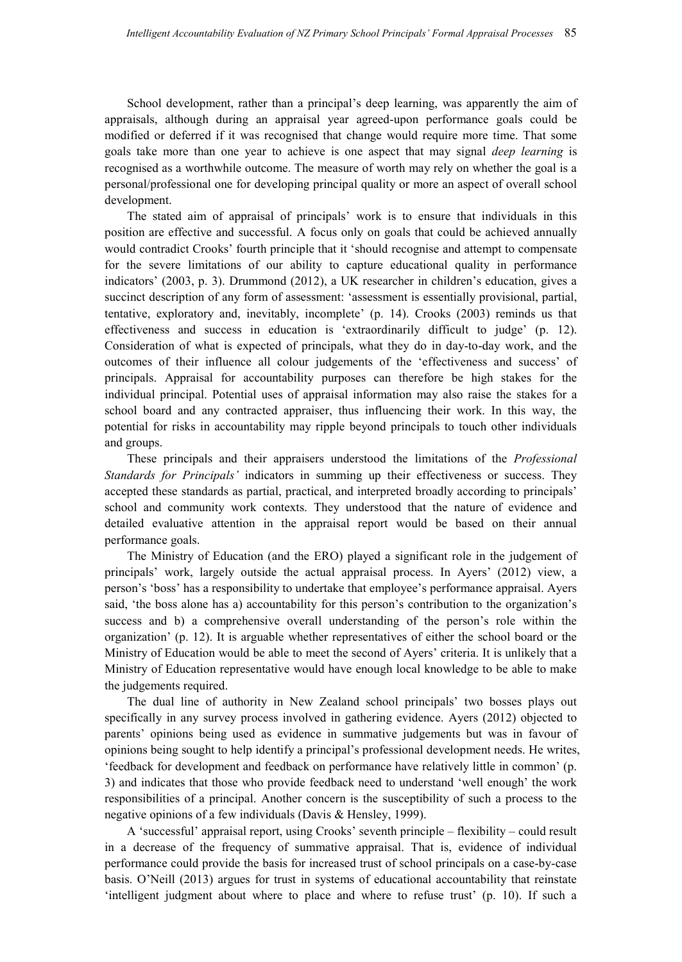School development, rather than a principal's deep learning, was apparently the aim of appraisals, although during an appraisal year agreed-upon performance goals could be modified or deferred if it was recognised that change would require more time. That some goals take more than one year to achieve is one aspect that may signal *deep learning* is recognised as a worthwhile outcome. The measure of worth may rely on whether the goal is a personal/professional one for developing principal quality or more an aspect of overall school development.

The stated aim of appraisal of principals' work is to ensure that individuals in this position are effective and successful. A focus only on goals that could be achieved annually would contradict Crooks' fourth principle that it 'should recognise and attempt to compensate for the severe limitations of our ability to capture educational quality in performance indicators' (2003, p. 3). Drummond (2012), a UK researcher in children's education, gives a succinct description of any form of assessment: 'assessment is essentially provisional, partial, tentative, exploratory and, inevitably, incomplete' (p. 14). Crooks (2003) reminds us that effectiveness and success in education is 'extraordinarily difficult to judge' (p. 12). Consideration of what is expected of principals, what they do in day-to-day work, and the outcomes of their influence all colour judgements of the 'effectiveness and success' of principals. Appraisal for accountability purposes can therefore be high stakes for the individual principal. Potential uses of appraisal information may also raise the stakes for a school board and any contracted appraiser, thus influencing their work. In this way, the potential for risks in accountability may ripple beyond principals to touch other individuals and groups.

These principals and their appraisers understood the limitations of the *Professional Standards for Principals'* indicators in summing up their effectiveness or success. They accepted these standards as partial, practical, and interpreted broadly according to principals' school and community work contexts. They understood that the nature of evidence and detailed evaluative attention in the appraisal report would be based on their annual performance goals.

The Ministry of Education (and the ERO) played a significant role in the judgement of principals' work, largely outside the actual appraisal process. In Ayers' (2012) view, a person's 'boss' has a responsibility to undertake that employee's performance appraisal. Ayers said, 'the boss alone has a) accountability for this person's contribution to the organization's success and b) a comprehensive overall understanding of the person's role within the organization' (p. 12). It is arguable whether representatives of either the school board or the Ministry of Education would be able to meet the second of Ayers' criteria. It is unlikely that a Ministry of Education representative would have enough local knowledge to be able to make the judgements required.

The dual line of authority in New Zealand school principals' two bosses plays out specifically in any survey process involved in gathering evidence. Ayers (2012) objected to parents' opinions being used as evidence in summative judgements but was in favour of opinions being sought to help identify a principal's professional development needs. He writes, 'feedback for development and feedback on performance have relatively little in common' (p. 3) and indicates that those who provide feedback need to understand 'well enough' the work responsibilities of a principal. Another concern is the susceptibility of such a process to the negative opinions of a few individuals (Davis & Hensley, 1999).

A 'successful' appraisal report, using Crooks' seventh principle – flexibility – could result in a decrease of the frequency of summative appraisal. That is, evidence of individual performance could provide the basis for increased trust of school principals on a case-by-case basis. O'Neill (2013) argues for trust in systems of educational accountability that reinstate 'intelligent judgment about where to place and where to refuse trust' (p. 10). If such a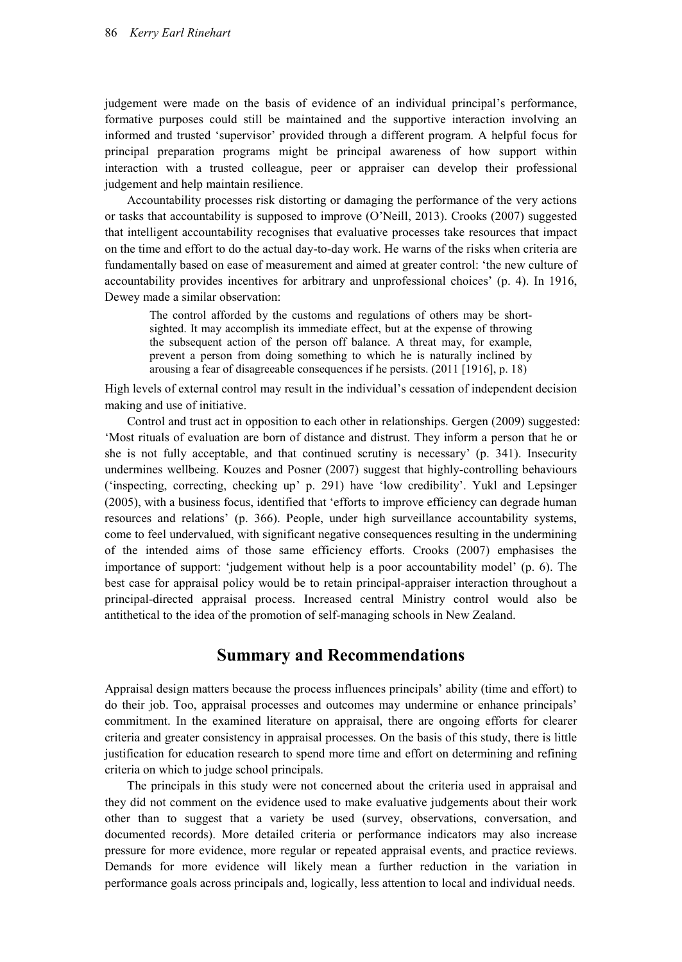judgement were made on the basis of evidence of an individual principal's performance, formative purposes could still be maintained and the supportive interaction involving an informed and trusted 'supervisor' provided through a different program. A helpful focus for principal preparation programs might be principal awareness of how support within interaction with a trusted colleague, peer or appraiser can develop their professional judgement and help maintain resilience.

Accountability processes risk distorting or damaging the performance of the very actions or tasks that accountability is supposed to improve (O'Neill, 2013). Crooks (2007) suggested that intelligent accountability recognises that evaluative processes take resources that impact on the time and effort to do the actual day-to-day work. He warns of the risks when criteria are fundamentally based on ease of measurement and aimed at greater control: 'the new culture of accountability provides incentives for arbitrary and unprofessional choices' (p. 4). In 1916, Dewey made a similar observation:

The control afforded by the customs and regulations of others may be shortsighted. It may accomplish its immediate effect, but at the expense of throwing the subsequent action of the person off balance. A threat may, for example, prevent a person from doing something to which he is naturally inclined by arousing a fear of disagreeable consequences if he persists. (2011 [1916], p. 18)

High levels of external control may result in the individual's cessation of independent decision making and use of initiative.

Control and trust act in opposition to each other in relationships. Gergen (2009) suggested: 'Most rituals of evaluation are born of distance and distrust. They inform a person that he or she is not fully acceptable, and that continued scrutiny is necessary' (p. 341). Insecurity undermines wellbeing. Kouzes and Posner (2007) suggest that highly-controlling behaviours ('inspecting, correcting, checking up' p. 291) have 'low credibility'. Yukl and Lepsinger (2005), with a business focus, identified that 'efforts to improve efficiency can degrade human resources and relations' (p. 366). People, under high surveillance accountability systems, come to feel undervalued, with significant negative consequences resulting in the undermining of the intended aims of those same efficiency efforts. Crooks (2007) emphasises the importance of support: 'judgement without help is a poor accountability model' (p. 6). The best case for appraisal policy would be to retain principal-appraiser interaction throughout a principal-directed appraisal process. Increased central Ministry control would also be antithetical to the idea of the promotion of self-managing schools in New Zealand.

### **Summary and Recommendations**

Appraisal design matters because the process influences principals' ability (time and effort) to do their job. Too, appraisal processes and outcomes may undermine or enhance principals' commitment. In the examined literature on appraisal, there are ongoing efforts for clearer criteria and greater consistency in appraisal processes. On the basis of this study, there is little justification for education research to spend more time and effort on determining and refining criteria on which to judge school principals.

The principals in this study were not concerned about the criteria used in appraisal and they did not comment on the evidence used to make evaluative judgements about their work other than to suggest that a variety be used (survey, observations, conversation, and documented records). More detailed criteria or performance indicators may also increase pressure for more evidence, more regular or repeated appraisal events, and practice reviews. Demands for more evidence will likely mean a further reduction in the variation in performance goals across principals and, logically, less attention to local and individual needs.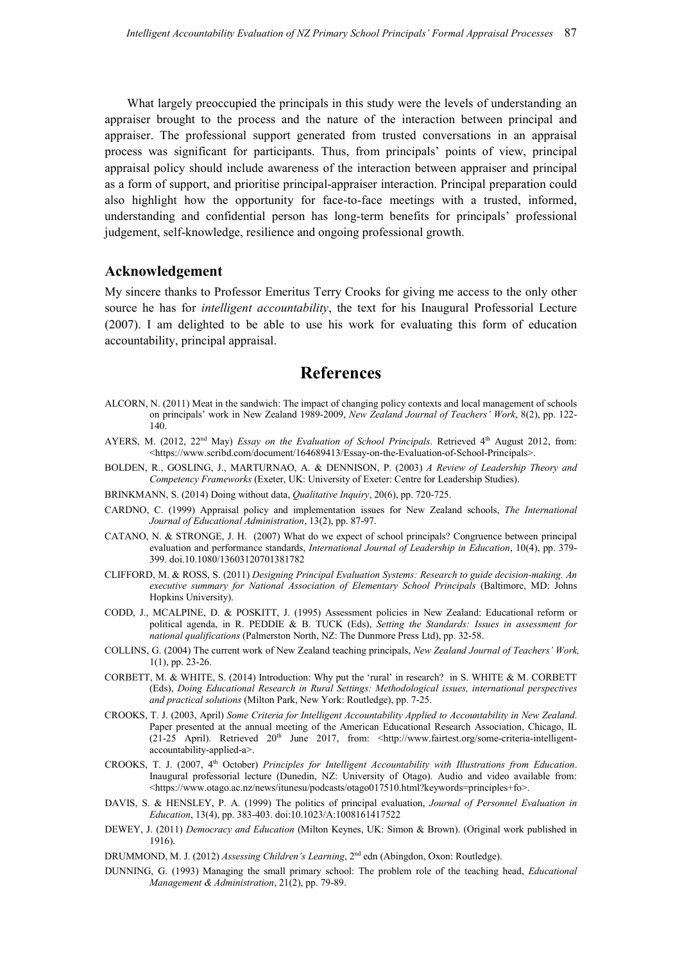What largely preoccupied the principals in this study were the levels of understanding an appraiser brought to the process and the nature of the interaction between principal and appraiser. The professional support generated from trusted conversations in an appraisal process was significant for participants. Thus, from principals' points of view, principal appraisal policy should include awareness of the interaction between appraiser and principal as a form of support, and prioritise principal-appraiser interaction. Principal preparation could also highlight how the opportunity for face-to-face meetings with a trusted, informed, understanding and confidential person has long-term benefits for principals' professional judgement, self-knowledge, resilience and ongoing professional growth.

#### **Acknowledgement**

My sincere thanks to Professor Emeritus Terry Crooks for giving me access to the only other source he has for *intelligent accountability*, the text for his Inaugural Professorial Lecture (2007). I am delighted to be able to use his work for evaluating this form of education accountability, principal appraisal.

## **References**

- ALCORN, N. (2011) Meat in the sandwich: The impact of changing policy contexts and local management of schools on principals' work in New Zealand 1989-2009, *New Zealand Journal of Teachers' Work*, 8(2), pp. 122- 140.
- AYERS, M. (2012, 22<sup>nd</sup> May) *Essay on the Evaluation of School Principals*. Retrieved 4<sup>th</sup> August 2012, from: <https://www.scribd.com/document/164689413/Essay-on-the-Evaluation-of-School-Principals>.
- BOLDEN, R., GOSLING, J., MARTURNAO, A. & DENNISON, P. (2003) *A Review of Leadership Theory and Competency Frameworks* (Exeter, UK: University of Exeter: Centre for Leadership Studies).
- BRINKMANN, S. (2014) Doing without data, *Qualitative Inquiry*, 20(6), pp. 720-725.
- CARDNO, C. (1999) Appraisal policy and implementation issues for New Zealand schools, *The International Journal of Educational Administration*, 13(2), pp. 87-97.
- CATANO, N. & STRONGE, J. H. (2007) What do we expect of school principals? Congruence between principal evaluation and performance standards, *International Journal of Leadership in Education*, 10(4), pp. 379- 399. doi.10.1080/13603120701381782
- CLIFFORD, M. & ROSS, S. (2011) *Designing Principal Evaluation Systems: Research to guide decision-making. An executive summary for National Association of Elementary School Principals* (Baltimore, MD: Johns Hopkins University).
- CODD, J., MCALPINE, D. & POSKITT, J. (1995) Assessment policies in New Zealand: Educational reform or political agenda, in R. PEDDIE & B. TUCK (Eds), *Setting the Standards: Issues in assessment for national qualifications* (Palmerston North, NZ: The Dunmore Press Ltd), pp. 32-58.
- COLLINS, G. (2004) The current work of New Zealand teaching principals, *New Zealand Journal of Teachers' Work,*  1(1), pp. 23-26.
- CORBETT, M. & WHITE, S. (2014) Introduction: Why put the 'rural' in research? in S. WHITE & M. CORBETT (Eds), *Doing Educational Research in Rural Settings: Methodological issues, international perspectives and practical solutions* (Milton Park, New York: Routledge), pp. 7-25.
- CROOKS, T. J. (2003, April) *Some Criteria for Intelligent Accountability Applied to Accountability in New Zealand*. Paper presented at the annual meeting of the American Educational Research Association, Chicago, IL (21-25 April). Retrieved 20<sup>th</sup> June 2017, from: <http://www.fairtest.org/some-criteria-intelligentaccountability-applied-a>.
- CROOKS, T. J. (2007, 4th October) *Principles for Intelligent Accountability with Illustrations from Education*. Inaugural professorial lecture (Dunedin, NZ: University of Otago). Audio and video available from: <https://www.otago.ac.nz/news/itunesu/podcasts/otago017510.html?keywords=principles+fo>.
- DAVIS, S. & HENSLEY, P. A. (1999) The politics of principal evaluation, *Journal of Personnel Evaluation in Education*, 13(4), pp. 383-403. doi:10.1023/A:1008161417522
- DEWEY, J. (2011) *Democracy and Education* (Milton Keynes, UK: Simon & Brown). (Original work published in 1916).
- DRUMMOND, M. J. (2012) *Assessing Children's Learning*, 2nd edn (Abingdon, Oxon: Routledge).
- DUNNING, G. (1993) Managing the small primary school: The problem role of the teaching head, *Educational Management & Administration*, 21(2), pp. 79-89.